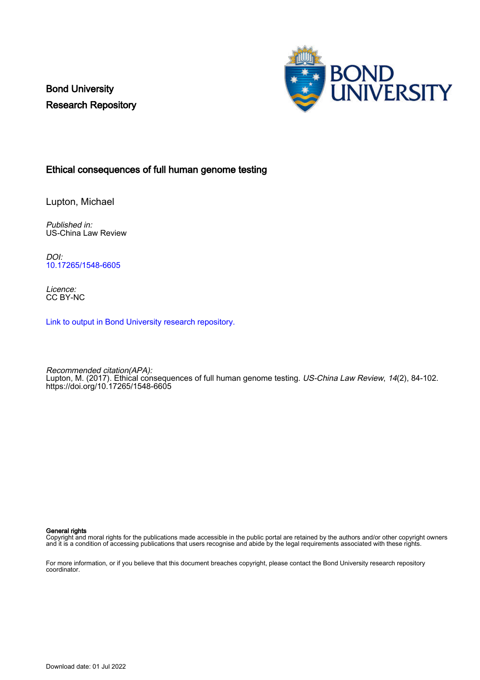Bond University Research Repository



## Ethical consequences of full human genome testing

Lupton, Michael

Published in: US-China Law Review

DOI: [10.17265/1548-6605](https://doi.org/10.17265/1548-6605)

Licence: CC BY-NC

[Link to output in Bond University research repository.](https://research.bond.edu.au/en/publications/fa420444-4999-41b1-b916-94e2d9d70345)

Recommended citation(APA): Lupton, M. (2017). Ethical consequences of full human genome testing. *US-China Law Review*, 14(2), 84-102. <https://doi.org/10.17265/1548-6605>

#### General rights

Copyright and moral rights for the publications made accessible in the public portal are retained by the authors and/or other copyright owners and it is a condition of accessing publications that users recognise and abide by the legal requirements associated with these rights.

For more information, or if you believe that this document breaches copyright, please contact the Bond University research repository coordinator.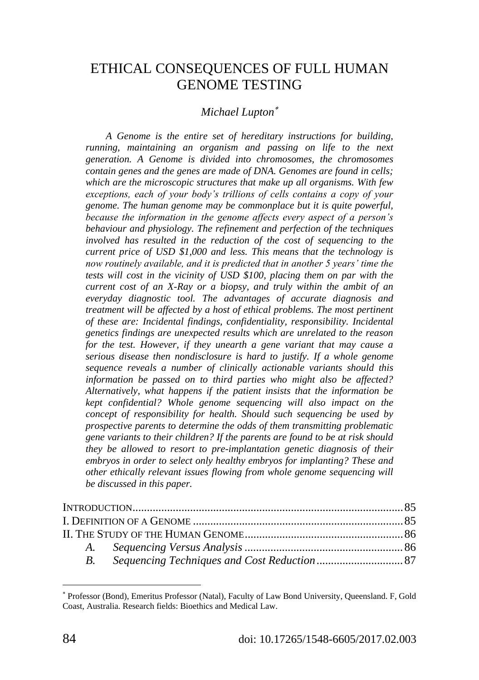# ETHICAL CONSEQUENCES OF FULL HUMAN GENOME TESTING

## <span id="page-1-0"></span>*Michael Lupton*

*A Genome is the entire set of hereditary instructions for building, running, maintaining an organism and passing on life to the next generation. A Genome is divided into chromosomes, the chromosomes contain genes and the genes are made of DNA. Genomes are found in cells; which are the microscopic structures that make up all organisms. With few exceptions, each of your body"s trillions of cells contains a copy of your genome. The human genome may be commonplace but it is quite powerful, because the information in the genome affects every aspect of a person"s behaviour and physiology. The refinement and perfection of the techniques involved has resulted in the reduction of the cost of sequencing to the current price of USD \$1,000 and less. This means that the technology is now routinely available, and it is predicted that in another 5 years" time the tests will cost in the vicinity of USD \$100, placing them on par with the current cost of an X-Ray or a biopsy, and truly within the ambit of an everyday diagnostic tool. The advantages of accurate diagnosis and treatment will be affected by a host of ethical problems. The most pertinent of these are: Incidental findings, confidentiality, responsibility. Incidental genetics findings are unexpected results which are unrelated to the reason for the test. However, if they unearth a gene variant that may cause a serious disease then nondisclosure is hard to justify. If a whole genome sequence reveals a number of clinically actionable variants should this information be passed on to third parties who might also be affected? Alternatively, what happens if the patient insists that the information be kept confidential? Whole genome sequencing will also impact on the concept of responsibility for health. Should such sequencing be used by prospective parents to determine the odds of them transmitting problematic gene variants to their children? If the parents are found to be at risk should they be allowed to resort to pre-implantation genetic diagnosis of their embryos in order to select only healthy embryos for implanting? These and other ethically relevant issues flowing from whole genome sequencing will be discussed in this paper.*

<span id="page-1-1"></span>

Professor (Bond), Emeritus Professor (Natal), Faculty of Law Bond University, Queensland. F, Gold Coast, Australia. Research fields: Bioethics and Medical Law.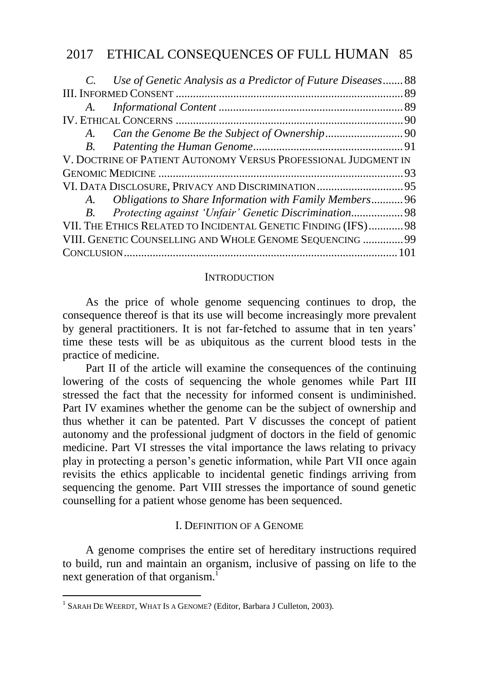| C. Use of Genetic Analysis as a Predictor of Future Diseases 88 |  |
|-----------------------------------------------------------------|--|
|                                                                 |  |
|                                                                 |  |
|                                                                 |  |
| A.                                                              |  |
|                                                                 |  |
| V. DOCTRINE OF PATIENT AUTONOMY VERSUS PROFESSIONAL JUDGMENT IN |  |
|                                                                 |  |
|                                                                 |  |
| A. Obligations to Share Information with Family Members 96      |  |
| B. Protecting against 'Unfair' Genetic Discrimination 98        |  |
| VII. THE ETHICS RELATED TO INCIDENTAL GENETIC FINDING (IFS) 98  |  |
| VIII. GENETIC COUNSELLING AND WHOLE GENOME SEQUENCING  99       |  |
|                                                                 |  |

#### **INTRODUCTION**

<span id="page-2-0"></span>As the price of whole genome sequencing continues to drop, the consequence thereof is that its use will become increasingly more prevalent by general practitioners. It is not far-fetched to assume that in ten years' time these tests will be as ubiquitous as the current blood tests in the practice of medicine.

Part II of the article will examine the consequences of the continuing lowering of the costs of sequencing the whole genomes while Part III stressed the fact that the necessity for informed consent is undiminished. Part IV examines whether the genome can be the subject of ownership and thus whether it can be patented. Part V discusses the concept of patient autonomy and the professional judgment of doctors in the field of genomic medicine. Part VI stresses the vital importance the laws relating to privacy play in protecting a person"s genetic information, while Part VII once again revisits the ethics applicable to incidental genetic findings arriving from sequencing the genome. Part VIII stresses the importance of sound genetic counselling for a patient whose genome has been sequenced.

### I. DEFINITION OF A GENOME

<span id="page-2-1"></span>A genome comprises the entire set of hereditary instructions required to build, run and maintain an organism, inclusive of passing on life to the next generation of that organism.<sup>1</sup>

<sup>1</sup> SARAH DE WEERDT, WHAT IS A GENOME? (Editor, Barbara J Culleton, 2003).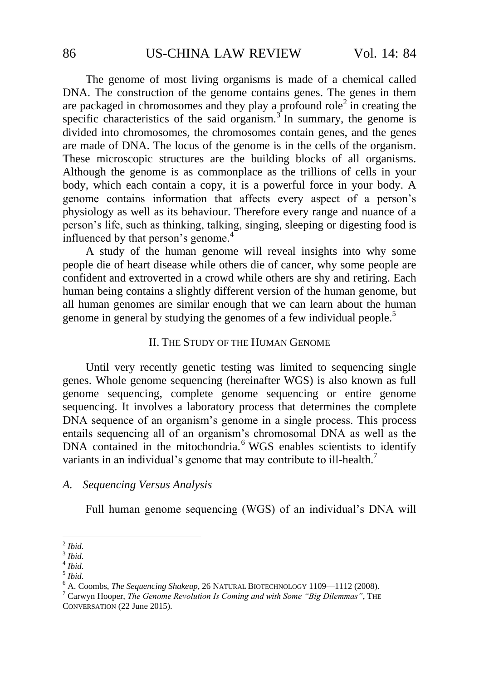The genome of most living organisms is made of a chemical called DNA. The construction of the genome contains genes. The genes in them are packaged in chromosomes and they play a profound role<sup>2</sup> in creating the specific characteristics of the said organism.<sup>3</sup> In summary, the genome is divided into chromosomes, the chromosomes contain genes, and the genes are made of DNA. The locus of the genome is in the cells of the organism. These microscopic structures are the building blocks of all organisms. Although the genome is as commonplace as the trillions of cells in your body, which each contain a copy, it is a powerful force in your body. A genome contains information that affects every aspect of a person"s physiology as well as its behaviour. Therefore every range and nuance of a person"s life, such as thinking, talking, singing, sleeping or digesting food is influenced by that person's genome.<sup>4</sup>

<span id="page-3-0"></span>A study of the human genome will reveal insights into why some people die of heart disease while others die of cancer, why some people are confident and extroverted in a crowd while others are shy and retiring. Each human being contains a slightly different version of the human genome, but all human genomes are similar enough that we can learn about the human genome in general by studying the genomes of a few individual people.<sup>5</sup>

#### II. THE STUDY OF THE HUMAN GENOME

Until very recently genetic testing was limited to sequencing single genes. Whole genome sequencing (hereinafter WGS) is also known as full genome sequencing, complete genome sequencing or entire genome sequencing. It involves a laboratory process that determines the complete DNA sequence of an organism"s genome in a single process. This process entails sequencing all of an organism"s chromosomal DNA as well as the DNA contained in the mitochondria.<sup>6</sup> WGS enables scientists to identify variants in an individual's genome that may contribute to ill-health.<sup>7</sup>

### *A. Sequencing Versus Analysis*

Full human genome sequencing (WGS) of an individual's DNA will

 2 *Ibid*.

<sup>3</sup> *Ibid*.

<sup>4</sup> *Ibid*.

<sup>5</sup> *Ibid*.

<sup>6</sup> A. Coombs, *The Sequencing Shakeup*, 26 NATURAL BIOTECHNOLOGY 1109—1112 (2008).

<sup>7</sup> Carwyn Hooper, *The Genome Revolution Is Coming and with Some "Big Dilemmas"*, THE CONVERSATION (22 June 2015).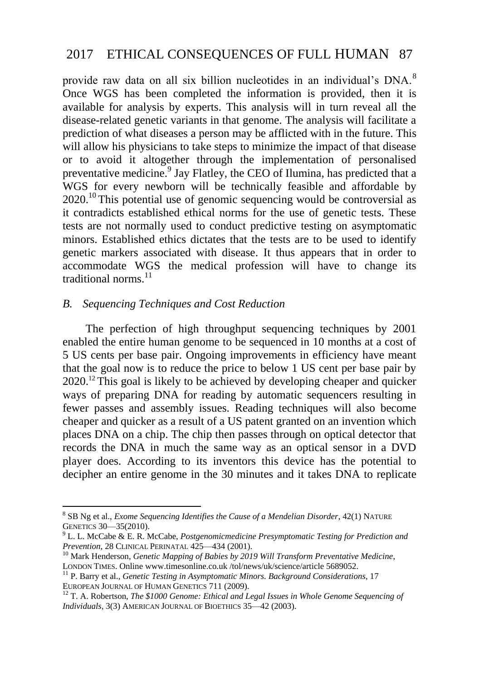<span id="page-4-0"></span>provide raw data on all six billion nucleotides in an individual's DNA.<sup>8</sup> Once WGS has been completed the information is provided, then it is available for analysis by experts. This analysis will in turn reveal all the disease-related genetic variants in that genome. The analysis will facilitate a prediction of what diseases a person may be afflicted with in the future. This will allow his physicians to take steps to minimize the impact of that disease or to avoid it altogether through the implementation of personalised preventative medicine.<sup>9</sup> Jay Flatley, the CEO of Ilumina, has predicted that a WGS for every newborn will be technically feasible and affordable by  $2020$ <sup>10</sup> This potential use of genomic sequencing would be controversial as it contradicts established ethical norms for the use of genetic tests. These tests are not normally used to conduct predictive testing on asymptomatic minors. Established ethics dictates that the tests are to be used to identify genetic markers associated with disease. It thus appears that in order to accommodate WGS the medical profession will have to change its traditional norms. 11

## *B. Sequencing Techniques and Cost Reduction*

1

The perfection of high throughput sequencing techniques by 2001 enabled the entire human genome to be sequenced in 10 months at a cost of 5 US cents per base pair. Ongoing improvements in efficiency have meant that the goal now is to reduce the price to below 1 US cent per base pair by 2020.<sup>12</sup> This goal is likely to be achieved by developing cheaper and quicker ways of preparing DNA for reading by automatic sequencers resulting in fewer passes and assembly issues. Reading techniques will also become cheaper and quicker as a result of a US patent granted on an invention which places DNA on a chip. The chip then passes through on optical detector that records the DNA in much the same way as an optical sensor in a DVD player does. According to its inventors this device has the potential to decipher an entire genome in the 30 minutes and it takes DNA to replicate

<sup>8</sup> SB Ng et al., *Exome Sequencing Identifies the Cause of a Mendelian Disorder*, 42(1) NATURE GENETICS 30—35(2010).

<sup>9</sup> L. L. McCabe & E. R. McCabe, *Postgenomicmedicine Presymptomatic Testing for Prediction and Prevention*, 28 CLINICAL PERINATAL 425—434 (2001).

<sup>&</sup>lt;sup>10</sup> Mark Henderson, *Genetic Mapping of Babies by 2019 Will Transform Preventative Medicine*, LONDON TIMES. Online www.timesonline.co.uk /tol/news/uk/science/article 5689052.

<sup>11</sup> P. Barry et al., *Genetic Testing in Asymptomatic Minors. Background Considerations*, 17 EUROPEAN JOURNAL OF HUMAN GENETICS 711 (2009).

<sup>&</sup>lt;sup>12</sup> T. A. Robertson, *The \$1000 Genome: Ethical and Legal Issues in Whole Genome Sequencing of Individuals*, 3(3) AMERICAN JOURNAL OF BIOETHICS 35—42 (2003).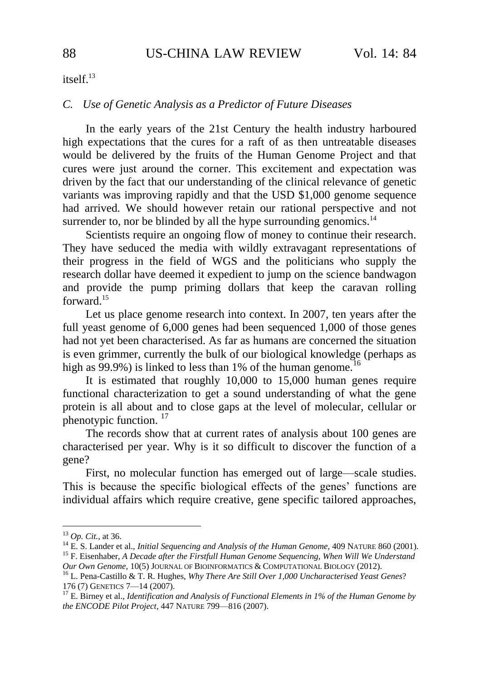itself.<sup>13</sup>

#### *C. Use of Genetic Analysis as a Predictor of Future Diseases*

<span id="page-5-1"></span><span id="page-5-0"></span>In the early years of the 21st Century the health industry harboured high expectations that the cures for a raft of as then untreatable diseases would be delivered by the fruits of the Human Genome Project and that cures were just around the corner. This excitement and expectation was driven by the fact that our understanding of the clinical relevance of genetic variants was improving rapidly and that the USD \$1,000 genome sequence had arrived. We should however retain our rational perspective and not surrender to, nor be blinded by all the hype surrounding genomics.<sup>14</sup>

Scientists require an ongoing flow of money to continue their research. They have seduced the media with wildly extravagant representations of their progress in the field of WGS and the politicians who supply the research dollar have deemed it expedient to jump on the science bandwagon and provide the pump priming dollars that keep the caravan rolling forward.<sup>15</sup>

Let us place genome research into context. In 2007, ten years after the full yeast genome of 6,000 genes had been sequenced 1,000 of those genes had not yet been characterised. As far as humans are concerned the situation is even grimmer, currently the bulk of our biological knowledge (perhaps as high as  $99.9\%$ ) is linked to less than 1% of the human genome.<sup>16</sup>

It is estimated that roughly 10,000 to 15,000 human genes require functional characterization to get a sound understanding of what the gene protein is all about and to close gaps at the level of molecular, cellular or phenotypic function.<sup>17</sup>

The records show that at current rates of analysis about 100 genes are characterised per year. Why is it so difficult to discover the function of a gene?

First, no molecular function has emerged out of large—scale studies. This is because the specific biological effects of the genes" functions are individual affairs which require creative, gene specific tailored approaches,

<sup>13</sup> *Op. Cit.*, at 36.

<sup>14</sup> E. S. Lander et al., *Initial Sequencing and Analysis of the Human Genome*, 409 NATURE 860 (2001). <sup>15</sup> F. Eisenhaber, *A Decade after the Firstfull Human Genome Sequencing*, *When Will We Understand* 

*Our Own Genome*, 10(5) JOURNAL OF BIOINFORMATICS & COMPUTATIONAL BIOLOGY (2012).

<sup>16</sup> L. Pena-Castillo & T. R. Hughes, *Why There Are Still Over 1,000 Uncharacterised Yeast Genes*? 176 (7) GENETICS 7—14 (2007).

<sup>&</sup>lt;sup>17</sup> E. Birney et al., *Identification and Analysis of Functional Elements in 1% of the Human Genome by the ENCODE Pilot Project*, 447 NATURE 799—816 (2007).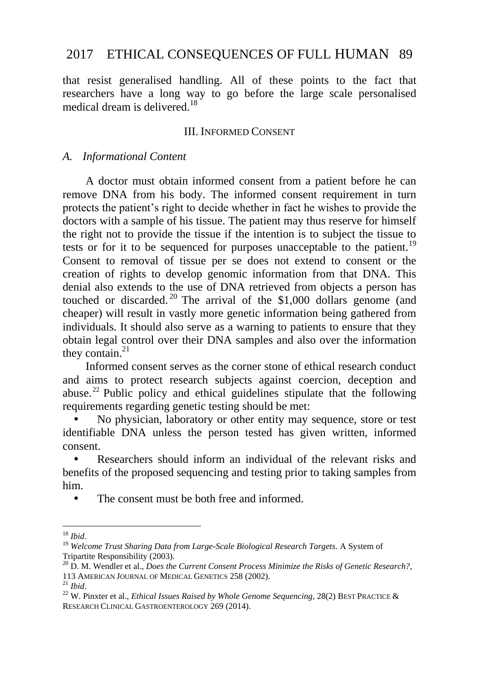that resist generalised handling. All of these points to the fact that researchers have a long way to go before the large scale personalised medical dream is delivered.<sup>18</sup>

### III. INFORMED CONSENT

#### *A. Informational Content*

A doctor must obtain informed consent from a patient before he can remove DNA from his body. The informed consent requirement in turn protects the patient"s right to decide whether in fact he wishes to provide the doctors with a sample of his tissue. The patient may thus reserve for himself the right not to provide the tissue if the intention is to subject the tissue to tests or for it to be sequenced for purposes unacceptable to the patient.<sup>19</sup> Consent to removal of tissue per se does not extend to consent or the creation of rights to develop genomic information from that DNA. This denial also extends to the use of DNA retrieved from objects a person has touched or discarded.<sup>20</sup> The arrival of the \$1,000 dollars genome (and cheaper) will result in vastly more genetic information being gathered from individuals. It should also serve as a warning to patients to ensure that they obtain legal control over their DNA samples and also over the information they contain. $^{21}$ 

<span id="page-6-0"></span>Informed consent serves as the corner stone of ethical research conduct and aims to protect research subjects against coercion, deception and abuse. <sup>22</sup> Public policy and ethical guidelines stipulate that the following requirements regarding genetic testing should be met:

 No physician, laboratory or other entity may sequence, store or test identifiable DNA unless the person tested has given written, informed consent.

<span id="page-6-1"></span> Researchers should inform an individual of the relevant risks and benefits of the proposed sequencing and testing prior to taking samples from him.

The consent must be both free and informed.

<sup>&</sup>lt;u>.</u> <sup>18</sup> *Ibid*.

<sup>19</sup> *Welcome Trust Sharing Data from Large-Scale Biological Research Targets*. A System of Tripartite Responsibility (2003).

<sup>20</sup> D. M. Wendler et al., *Does the Current Consent Process Minimize the Risks of Genetic Research?*, 113 AMERICAN JOURNAL OF MEDICAL GENETICS 258 (2002).

<sup>21</sup> *Ibid*.

<sup>&</sup>lt;sup>22</sup> W. Pinxter et al., *Ethical Issues Raised by Whole Genome Sequencing*, 28(2) BEST PRACTICE & RESEARCH CLINICAL GASTROENTEROLOGY 269 (2014).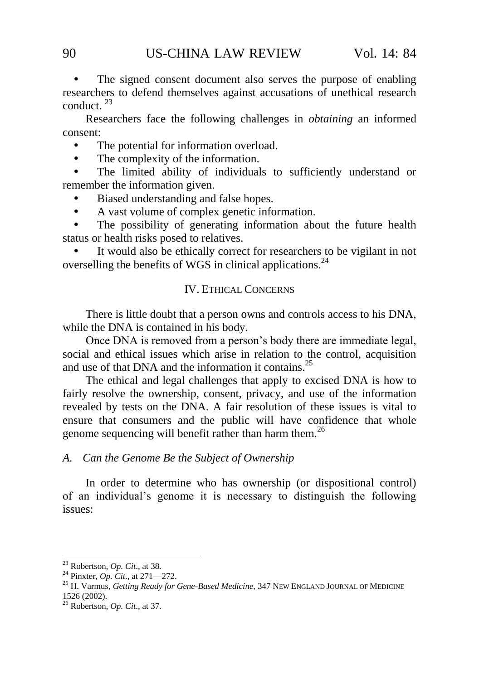The signed consent document also serves the purpose of enabling researchers to defend themselves against accusations of unethical research conduct. <sup>23</sup>

Researchers face the following challenges in *obtaining* an informed consent:

The potential for information overload.

• The complexity of the information.

 The limited ability of individuals to sufficiently understand or remember the information given.

• Biased understanding and false hopes.

A vast volume of complex genetic information.

 The possibility of generating information about the future health status or health risks posed to relatives.

 It would also be ethically correct for researchers to be vigilant in not overselling the benefits of WGS in clinical applications.<sup>24</sup>

## IV. ETHICAL CONCERNS

There is little doubt that a person owns and controls access to his DNA, while the DNA is contained in his body.

Once DNA is removed from a person"s body there are immediate legal, social and ethical issues which arise in relation to the control, acquisition and use of that DNA and the information it contains.<sup>25</sup>

<span id="page-7-0"></span>The ethical and legal challenges that apply to excised DNA is how to fairly resolve the ownership, consent, privacy, and use of the information revealed by tests on the DNA. A fair resolution of these issues is vital to ensure that consumers and the public will have confidence that whole genome sequencing will benefit rather than harm them.<sup>26</sup>

### *A. Can the Genome Be the Subject of Ownership*

In order to determine who has ownership (or dispositional control) of an individual"s genome it is necessary to distinguish the following issues:

<sup>23</sup> Robertson, *Op. Cit*., at 38.

<sup>24</sup> Pinxter, *Op. Cit*., at 271—272.

<sup>25</sup> H. Varmus, *Getting Ready for Gene-Based Medicine*, 347 NEW ENGLAND JOURNAL OF MEDICINE 1526 (2002).

<sup>26</sup> Robertson, *Op. Cit*., at 37.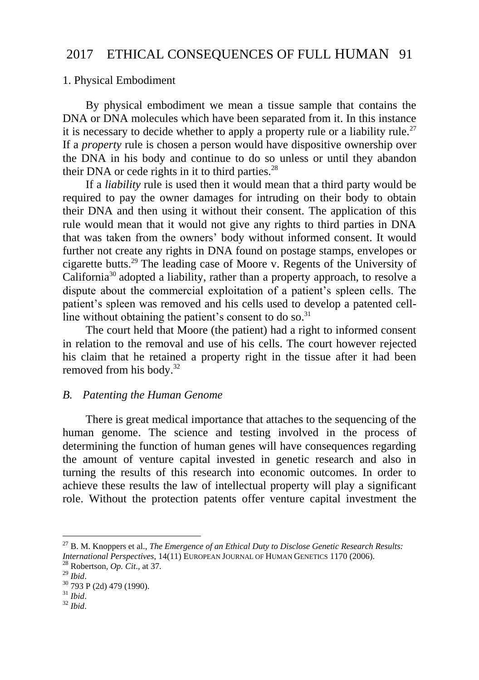## 1. Physical Embodiment

By physical embodiment we mean a tissue sample that contains the DNA or DNA molecules which have been separated from it. In this instance it is necessary to decide whether to apply a property rule or a liability rule.<sup>27</sup> If a *property* rule is chosen a person would have dispositive ownership over the DNA in his body and continue to do so unless or until they abandon their DNA or cede rights in it to third parties. $28$ 

If a *liability* rule is used then it would mean that a third party would be required to pay the owner damages for intruding on their body to obtain their DNA and then using it without their consent. The application of this rule would mean that it would not give any rights to third parties in DNA that was taken from the owners" body without informed consent. It would further not create any rights in DNA found on postage stamps, envelopes or cigarette butts.<sup>29</sup> The leading case of Moore v. Regents of the University of  $California<sup>30</sup>$  adopted a liability, rather than a property approach, to resolve a dispute about the commercial exploitation of a patient"s spleen cells. The patient's spleen was removed and his cells used to develop a patented cellline without obtaining the patient's consent to do so. $31$ 

The court held that Moore (the patient) had a right to informed consent in relation to the removal and use of his cells. The court however rejected his claim that he retained a property right in the tissue after it had been removed from his body.<sup>32</sup>

## *B. Patenting the Human Genome*

There is great medical importance that attaches to the sequencing of the human genome. The science and testing involved in the process of determining the function of human genes will have consequences regarding the amount of venture capital invested in genetic research and also in turning the results of this research into economic outcomes. In order to achieve these results the law of intellectual property will play a significant role. Without the protection patents offer venture capital investment the

<sup>27</sup> B. M. Knoppers et al., *The Emergence of an Ethical Duty to Disclose Genetic Research Results: International Perspectives*, 14(11) EUROPEAN JOURNAL OF HUMAN GENETICS 1170 (2006).

<sup>28</sup> Robertson, *Op. Cit*., at 37.

<sup>29</sup> *Ibid*.

<sup>30</sup> 793 P (2d) 479 (1990).

<sup>31</sup> *Ibid*.

<sup>32</sup> *Ibid*.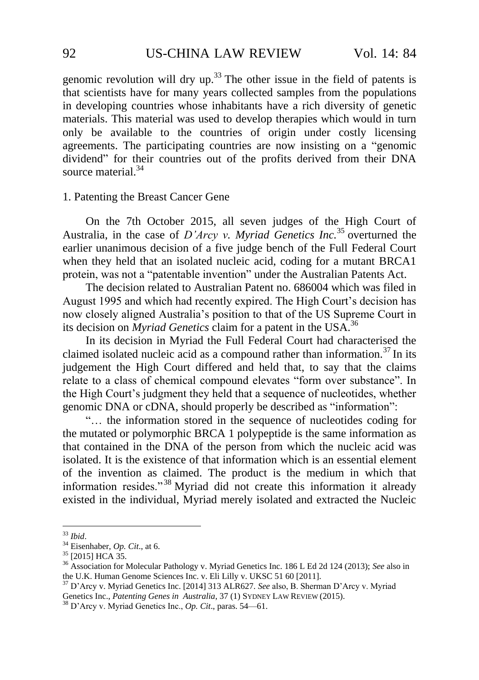genomic revolution will dry up.<sup>33</sup> The other issue in the field of patents is that scientists have for many years collected samples from the populations in developing countries whose inhabitants have a rich diversity of genetic materials. This material was used to develop therapies which would in turn only be available to the countries of origin under costly licensing agreements. The participating countries are now insisting on a "genomic dividend" for their countries out of the profits derived from their DNA source material.<sup>34</sup>

#### 1. Patenting the Breast Cancer Gene

On the 7th October 2015, all seven judges of the High Court of Australia, in the case of *D"Arcy v. Myriad Genetics Inc.* <sup>35</sup> overturned the earlier unanimous decision of a five judge bench of the Full Federal Court when they held that an isolated nucleic acid, coding for a mutant BRCA1 protein, was not a "patentable invention" under the Australian Patents Act.

The decision related to Australian Patent no. 686004 which was filed in August 1995 and which had recently expired. The High Court"s decision has now closely aligned Australia"s position to that of the US Supreme Court in its decision on *Myriad Genetics* claim for a patent in the USA.<sup>36</sup>

In its decision in Myriad the Full Federal Court had characterised the claimed isolated nucleic acid as a compound rather than information.<sup>37</sup> In its judgement the High Court differed and held that, to say that the claims relate to a class of chemical compound elevates "form over substance". In the High Court"s judgment they held that a sequence of nucleotides, whether genomic DNA or cDNA, should properly be described as "information":

<span id="page-9-0"></span>"… the information stored in the sequence of nucleotides coding for the mutated or polymorphic BRCA 1 polypeptide is the same information as that contained in the DNA of the person from which the nucleic acid was isolated. It is the existence of that information which is an essential element of the invention as claimed. The product is the medium in which that information resides." <sup>38</sup> Myriad did not create this information it already existed in the individual, Myriad merely isolated and extracted the Nucleic

<sup>33</sup> *Ibid*.

<sup>34</sup> Eisenhaber, *Op. Cit*., at 6.

<sup>35</sup> [2015] HCA 35.

<sup>36</sup> Association for Molecular Pathology v. Myriad Genetics Inc. 186 L Ed 2d 124 (2013); *See* also in the U.K. Human Genome Sciences Inc. v. Eli Lilly v. UKSC 51 60 [2011].

<sup>37</sup> D"Arcy v. Myriad Genetics Inc. [2014] 313 ALR627. *See* also, B. Sherman D"Arcy v. Myriad Genetics Inc., *Patenting Genes in Australia*, 37 (1) SYDNEY LAW REVIEW (2015).

<sup>38</sup> D"Arcy v. Myriad Genetics Inc., *Op. Cit*., paras. 54—61.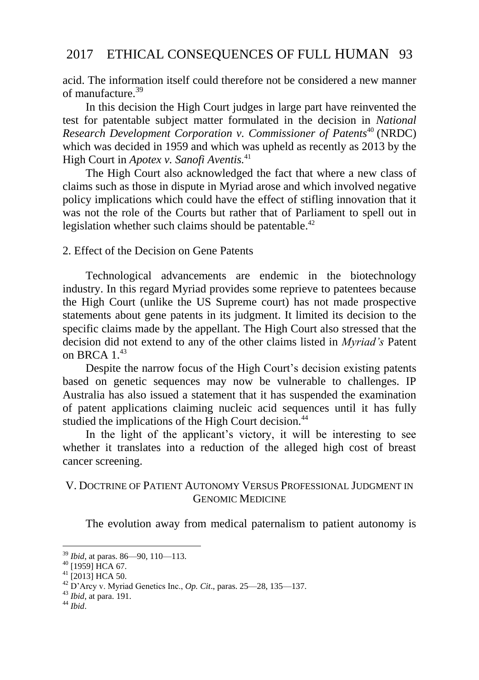acid. The information itself could therefore not be considered a new manner of manufacture.<sup>39</sup>

In this decision the High Court judges in large part have reinvented the test for patentable subject matter formulated in the decision in *National Research Development Corporation v. Commissioner of Patents*<sup>40</sup> (NRDC) which was decided in 1959 and which was upheld as recently as 2013 by the High Court in *Apotex v. Sanofi Aventis.*<sup>41</sup>

The High Court also acknowledged the fact that where a new class of claims such as those in dispute in Myriad arose and which involved negative policy implications which could have the effect of stifling innovation that it was not the role of the Courts but rather that of Parliament to spell out in legislation whether such claims should be patentable.<sup>42</sup>

### 2. Effect of the Decision on Gene Patents

Technological advancements are endemic in the biotechnology industry. In this regard Myriad provides some reprieve to patentees because the High Court (unlike the US Supreme court) has not made prospective statements about gene patents in its judgment. It limited its decision to the specific claims made by the appellant. The High Court also stressed that the decision did not extend to any of the other claims listed in *Myriad"s* Patent on BRCA  $1.^{43}$ 

Despite the narrow focus of the High Court's decision existing patents based on genetic sequences may now be vulnerable to challenges. IP Australia has also issued a statement that it has suspended the examination of patent applications claiming nucleic acid sequences until it has fully studied the implications of the High Court decision.<sup>44</sup>

In the light of the applicant's victory, it will be interesting to see whether it translates into a reduction of the alleged high cost of breast cancer screening.

### V. DOCTRINE OF PATIENT AUTONOMY VERSUS PROFESSIONAL JUDGMENT IN GENOMIC MEDICINE

The evolution away from medical paternalism to patient autonomy is

<sup>44</sup> *Ibid*.

<sup>39</sup> *Ibid*, at paras. 86—90, 110—113.

 $^{40}$  [1959] HCA 67.

 $^{41}$  [2013] HCA 50.

<sup>42</sup> D"Arcy v. Myriad Genetics Inc., *Op. Cit*., paras. 25—28, 135—137.

<sup>43</sup> *Ibid*, at para. 191.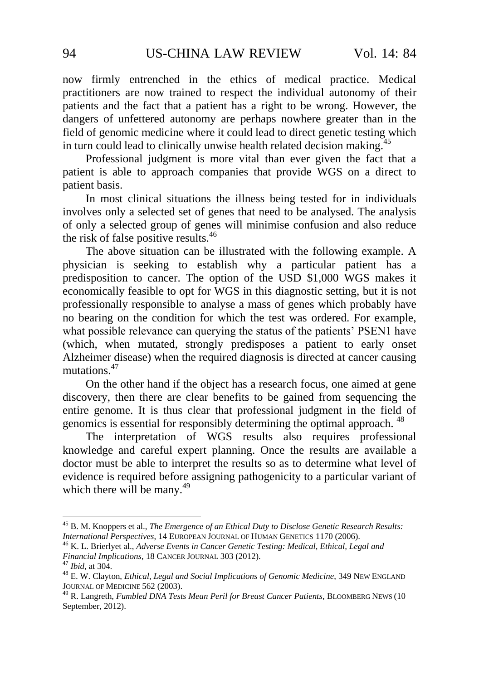now firmly entrenched in the ethics of medical practice. Medical practitioners are now trained to respect the individual autonomy of their patients and the fact that a patient has a right to be wrong. However, the dangers of unfettered autonomy are perhaps nowhere greater than in the field of genomic medicine where it could lead to direct genetic testing which in turn could lead to clinically unwise health related decision making.<sup>45</sup>

Professional judgment is more vital than ever given the fact that a patient is able to approach companies that provide WGS on a direct to patient basis.

In most clinical situations the illness being tested for in individuals involves only a selected set of genes that need to be analysed. The analysis of only a selected group of genes will minimise confusion and also reduce the risk of false positive results.<sup>46</sup>

The above situation can be illustrated with the following example. A physician is seeking to establish why a particular patient has a predisposition to cancer. The option of the USD \$1,000 WGS makes it economically feasible to opt for WGS in this diagnostic setting, but it is not professionally responsible to analyse a mass of genes which probably have no bearing on the condition for which the test was ordered. For example, what possible relevance can querying the status of the patients' PSEN1 have (which, when mutated, strongly predisposes a patient to early onset Alzheimer disease) when the required diagnosis is directed at cancer causing mutations.<sup>47</sup>

<span id="page-11-0"></span>On the other hand if the object has a research focus, one aimed at gene discovery, then there are clear benefits to be gained from sequencing the entire genome. It is thus clear that professional judgment in the field of genomics is essential for responsibly determining the optimal approach. <sup>48</sup>

The interpretation of WGS results also requires professional knowledge and careful expert planning. Once the results are available a doctor must be able to interpret the results so as to determine what level of evidence is required before assigning pathogenicity to a particular variant of which there will be many. $^{49}$ 

<sup>46</sup> K. L. Brierlyet al., *Adverse Events in Cancer Genetic Testing: Medical, Ethical, Legal and Financial Implications*, 18 CANCER JOURNAL 303 (2012).

<sup>45</sup> B. M. Knoppers et al., *The Emergence of an Ethical Duty to Disclose Genetic Research Results: International Perspectives*, 14 EUROPEAN JOURNAL OF HUMAN GENETICS 1170 (2006).

<sup>47</sup> *Ibid*, at 304.

<sup>48</sup> E. W. Clayton, *Ethical, Legal and Social Implications of Genomic Medicine*, 349 NEW ENGLAND JOURNAL OF MEDICINE 562 (2003).

<sup>49</sup> R. Langreth, *Fumbled DNA Tests Mean Peril for Breast Cancer Patients*, BLOOMBERG NEWS (10 September, 2012).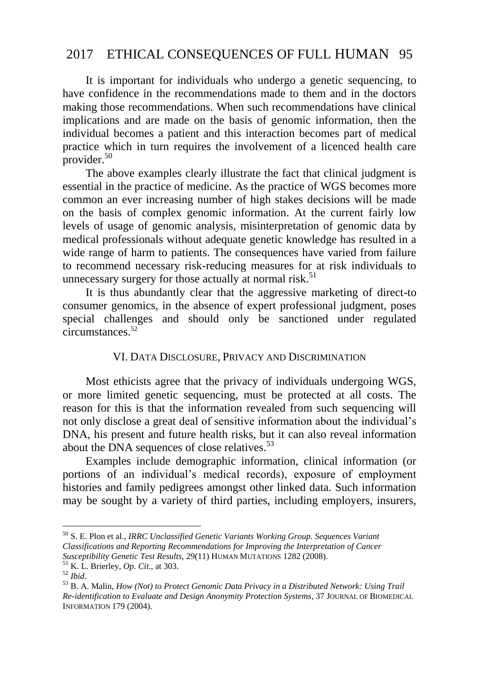It is important for individuals who undergo a genetic sequencing, to have confidence in the recommendations made to them and in the doctors making those recommendations. When such recommendations have clinical implications and are made on the basis of genomic information, then the individual becomes a patient and this interaction becomes part of medical practice which in turn requires the involvement of a licenced health care provider.<sup>50</sup>

The above examples clearly illustrate the fact that clinical judgment is essential in the practice of medicine. As the practice of WGS becomes more common an ever increasing number of high stakes decisions will be made on the basis of complex genomic information. At the current fairly low levels of usage of genomic analysis, misinterpretation of genomic data by medical professionals without adequate genetic knowledge has resulted in a wide range of harm to patients. The consequences have varied from failure to recommend necessary risk-reducing measures for at risk individuals to unnecessary surgery for those actually at normal risk.<sup>51</sup>

It is thus abundantly clear that the aggressive marketing of direct-to consumer genomics, in the absence of expert professional judgment, poses special challenges and should only be sanctioned under regulated circumstances.<sup>52</sup>

### VI. DATA DISCLOSURE, PRIVACY AND DISCRIMINATION

<span id="page-12-0"></span>Most ethicists agree that the privacy of individuals undergoing WGS, or more limited genetic sequencing, must be protected at all costs. The reason for this is that the information revealed from such sequencing will not only disclose a great deal of sensitive information about the individual"s DNA, his present and future health risks, but it can also reveal information about the DNA sequences of close relatives.<sup>53</sup>

Examples include demographic information, clinical information (or portions of an individual"s medical records), exposure of employment histories and family pedigrees amongst other linked data. Such information may be sought by a variety of third parties, including employers, insurers,

<sup>50</sup> S. E. Plon et al., *IRRC Unclassified Genetic Variants Working Group. Sequences Variant Classifications and Reporting Recommendations for Improving the Interpretation of Cancer Susceptibility Genetic Test Results*, 29(11) HUMAN MUTATIONS 1282 (2008).

<sup>51</sup> K. L. Brierley, *Op. Cit*., at 303.

<sup>52</sup> *Ibid*.

<sup>53</sup> B. A. Malin, *How (Not) to Protect Genomic Data Privacy in a Distributed Network: Using Trail Re-identification to Evaluate and Design Anonymity Protection Systems*, 37 JOURNAL OF BIOMEDICAL INFORMATION 179 (2004).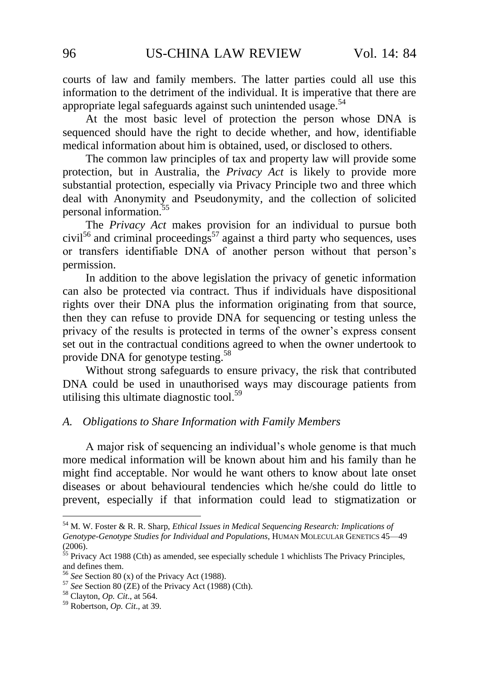courts of law and family members. The latter parties could all use this information to the detriment of the individual. It is imperative that there are appropriate legal safeguards against such unintended usage. $54$ 

At the most basic level of protection the person whose DNA is sequenced should have the right to decide whether, and how, identifiable medical information about him is obtained, used, or disclosed to others.

The common law principles of tax and property law will provide some protection, but in Australia, the *Privacy Act* is likely to provide more substantial protection, especially via Privacy Principle two and three which deal with Anonymity and Pseudonymity, and the collection of solicited personal information.<sup>55</sup>

The *Privacy Act* makes provision for an individual to pursue both civil<sup>56</sup> and criminal proceedings<sup>57</sup> against a third party who sequences, uses or transfers identifiable DNA of another person without that person"s permission.

In addition to the above legislation the privacy of genetic information can also be protected via contract. Thus if individuals have dispositional rights over their DNA plus the information originating from that source, then they can refuse to provide DNA for sequencing or testing unless the privacy of the results is protected in terms of the owner"s express consent set out in the contractual conditions agreed to when the owner undertook to provide DNA for genotype testing.<sup>58</sup>

Without strong safeguards to ensure privacy, the risk that contributed DNA could be used in unauthorised ways may discourage patients from utilising this ultimate diagnostic tool.<sup>59</sup>

#### *A. Obligations to Share Information with Family Members*

A major risk of sequencing an individual"s whole genome is that much more medical information will be known about him and his family than he might find acceptable. Nor would he want others to know about late onset diseases or about behavioural tendencies which he/she could do little to prevent, especially if that information could lead to stigmatization or

<sup>54</sup> M. W. Foster & R. R. Sharp, *Ethical Issues in Medical Sequencing Research: Implications of Genotype-Genotype Studies for Individual and Populations*, HUMAN MOLECULAR GENETICS 45—49 (2006).

<sup>&</sup>lt;sup>55</sup> Privacy Act 1988 (Cth) as amended, see especially schedule 1 whichlists The Privacy Principles, and defines them.

<sup>56</sup> *See* Section 80 (x) of the Privacy Act (1988).

<sup>57</sup> *See* Section 80 (ZE) of the Privacy Act (1988) (Cth).

<sup>58</sup> Clayton, *Op. Cit*., at 564.

<sup>59</sup> Robertson, *Op. Cit*., at 39.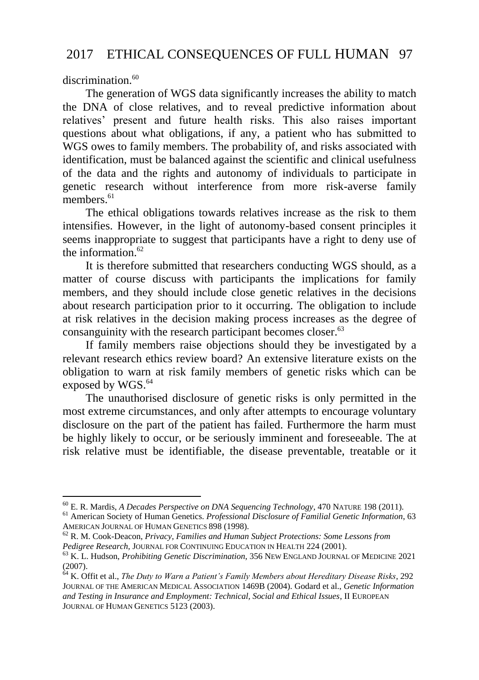discrimination.<sup>60</sup>

<u>.</u>

<span id="page-14-0"></span>The generation of WGS data significantly increases the ability to match the DNA of close relatives, and to reveal predictive information about relatives" present and future health risks. This also raises important questions about what obligations, if any, a patient who has submitted to WGS owes to family members. The probability of, and risks associated with identification, must be balanced against the scientific and clinical usefulness of the data and the rights and autonomy of individuals to participate in genetic research without interference from more risk-averse family members.<sup>61</sup>

The ethical obligations towards relatives increase as the risk to them intensifies. However, in the light of autonomy-based consent principles it seems inappropriate to suggest that participants have a right to deny use of the information. $62$ 

It is therefore submitted that researchers conducting WGS should, as a matter of course discuss with participants the implications for family members, and they should include close genetic relatives in the decisions about research participation prior to it occurring. The obligation to include at risk relatives in the decision making process increases as the degree of consanguinity with the research participant becomes closer.<sup>63</sup>

If family members raise objections should they be investigated by a relevant research ethics review board? An extensive literature exists on the obligation to warn at risk family members of genetic risks which can be exposed by WGS.<sup>64</sup>

<span id="page-14-1"></span>The unauthorised disclosure of genetic risks is only permitted in the most extreme circumstances, and only after attempts to encourage voluntary disclosure on the part of the patient has failed. Furthermore the harm must be highly likely to occur, or be seriously imminent and foreseeable. The at risk relative must be identifiable, the disease preventable, treatable or it

<sup>60</sup> E. R. Mardis, *A Decades Perspective on DNA Sequencing Technology*, 470 NATURE 198 (2011). <sup>61</sup> American Society of Human Genetics. *Professional Disclosure of Familial Genetic Information*, 63

AMERICAN JOURNAL OF HUMAN GENETICS 898 (1998). <sup>62</sup> R. M. Cook-Deacon, *Privacy, Families and Human Subject Protections: Some Lessons from* 

*Pedigree Research,* JOURNAL FOR CONTINUING EDUCATION IN HEALTH 224 (2001).

<sup>63</sup> K. L. Hudson, *Prohibiting Genetic Discrimination*, 356 NEW ENGLAND JOURNAL OF MEDICINE 2021 (2007).

<sup>64</sup> K. Offit et al., *The Duty to Warn a Patient"s Family Members about Hereditary Disease Risks*, 292 JOURNAL OF THE AMERICAN MEDICAL ASSOCIATION 1469B (2004). Godard et al., *Genetic Information and Testing in Insurance and Employment: Technical, Social and Ethical Issues*, II EUROPEAN JOURNAL OF HUMAN GENETICS 5123 (2003).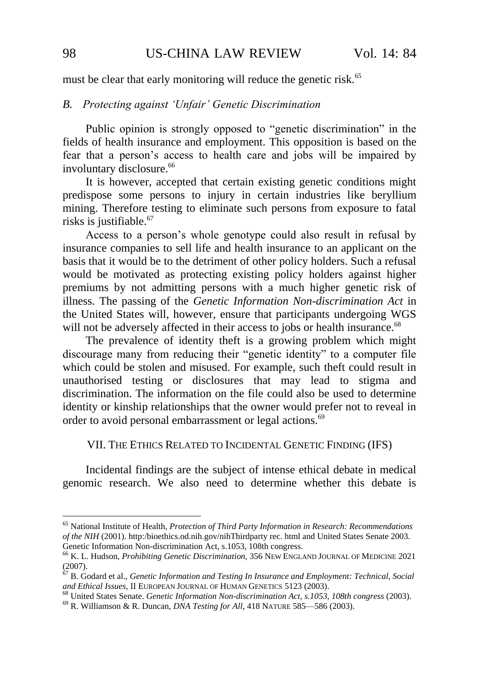must be clear that early monitoring will reduce the genetic risk.<sup>65</sup>

## *B. Protecting against "Unfair" Genetic Discrimination*

Public opinion is strongly opposed to "genetic discrimination" in the fields of health insurance and employment. This opposition is based on the fear that a person"s access to health care and jobs will be impaired by involuntary disclosure.<sup>66</sup>

It is however, accepted that certain existing genetic conditions might predispose some persons to injury in certain industries like beryllium mining. Therefore testing to eliminate such persons from exposure to fatal risks is justifiable. $67$ 

Access to a person"s whole genotype could also result in refusal by insurance companies to sell life and health insurance to an applicant on the basis that it would be to the detriment of other policy holders. Such a refusal would be motivated as protecting existing policy holders against higher premiums by not admitting persons with a much higher genetic risk of illness. The passing of the *Genetic Information Non-discrimination Act* in the United States will, however, ensure that participants undergoing WGS will not be adversely affected in their access to jobs or health insurance.<sup>68</sup>

The prevalence of identity theft is a growing problem which might discourage many from reducing their "genetic identity" to a computer file which could be stolen and misused. For example, such theft could result in unauthorised testing or disclosures that may lead to stigma and discrimination. The information on the file could also be used to determine identity or kinship relationships that the owner would prefer not to reveal in order to avoid personal embarrassment or legal actions.<sup>69</sup>

<span id="page-15-0"></span>VII. THE ETHICS RELATED TO INCIDENTAL GENETIC FINDING (IFS)

Incidental findings are the subject of intense ethical debate in medical genomic research. We also need to determine whether this debate is

<sup>65</sup> National Institute of Health, *Protection of Third Party Information in Research: Recommendations of the NIH* (2001). http:/bioethics.od.nih.gov/nihThirdparty rec. html and United States Senate 2003. Genetic Information Non-discrimination Act, s.1053, 108th congress.

<sup>66</sup> K. L. Hudson, *Prohibiting Genetic Discrimination*, 356 NEW ENGLAND JOURNAL OF MEDICINE 2021  $(2007)$ .

<sup>67</sup> B. Godard et al., *Genetic Information and Testing In Insurance and Employment: Technical, Social and Ethical Issues*, II EUROPEAN JOURNAL OF HUMAN GENETICS 5123 (2003).

<sup>68</sup> United States Senate. *Genetic Information Non-discrimination Act, s.1053, 108th congress* (2003).

<sup>69</sup> R. Williamson & R. Duncan, *DNA Testing for All*, 418 NATURE 585—586 (2003).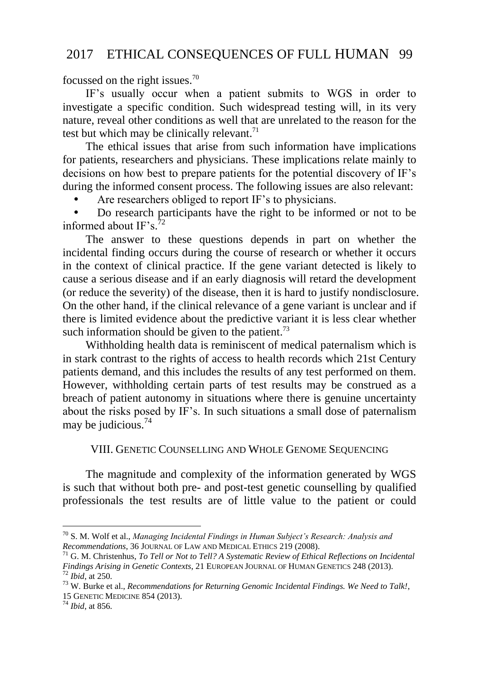focussed on the right issues.<sup>70</sup>

IF"s usually occur when a patient submits to WGS in order to investigate a specific condition. Such widespread testing will, in its very nature, reveal other conditions as well that are unrelated to the reason for the test but which may be clinically relevant. $71$ 

The ethical issues that arise from such information have implications for patients, researchers and physicians. These implications relate mainly to decisions on how best to prepare patients for the potential discovery of IF"s during the informed consent process. The following issues are also relevant:

Are researchers obliged to report IF"s to physicians.

 Do research participants have the right to be informed or not to be informed about IF's. $^{72}$ 

The answer to these questions depends in part on whether the incidental finding occurs during the course of research or whether it occurs in the context of clinical practice. If the gene variant detected is likely to cause a serious disease and if an early diagnosis will retard the development (or reduce the severity) of the disease, then it is hard to justify nondisclosure. On the other hand, if the clinical relevance of a gene variant is unclear and if there is limited evidence about the predictive variant it is less clear whether such information should be given to the patient. $73$ 

Withholding health data is reminiscent of medical paternalism which is in stark contrast to the rights of access to health records which 21st Century patients demand, and this includes the results of any test performed on them. However, withholding certain parts of test results may be construed as a breach of patient autonomy in situations where there is genuine uncertainty about the risks posed by IF"s. In such situations a small dose of paternalism may be judicious.<sup>74</sup>

#### VIII. GENETIC COUNSELLING AND WHOLE GENOME SEQUENCING

The magnitude and complexity of the information generated by WGS is such that without both pre- and post-test genetic counselling by qualified professionals the test results are of little value to the patient or could

<sup>70</sup> S. M. Wolf et al., *Managing Incidental Findings in Human Subject"s Research: Analysis and Recommendations*, 36 JOURNAL OF LAW AND MEDICAL ETHICS 219 (2008).

<sup>71</sup> G. M. Christenhus, *To Tell or Not to Tell? A Systematic Review of Ethical Reflections on Incidental Findings Arising in Genetic Contexts*, 21 EUROPEAN JOURNAL OF HUMAN GENETICS 248 (2013). <sup>72</sup> *Ibid*, at 250.

<sup>73</sup> W. Burke et al., *Recommendations for Returning Genomic Incidental Findings. We Need to Talk!*, 15 GENETIC MEDICINE 854 (2013).

<sup>74</sup> *Ibid*, at 856.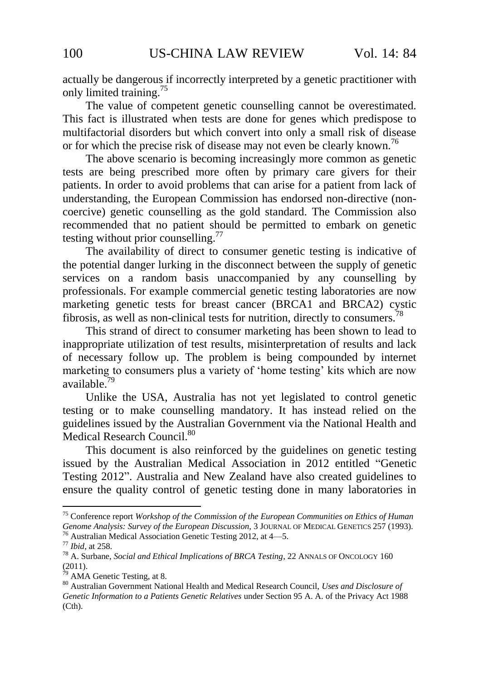actually be dangerous if incorrectly interpreted by a genetic practitioner with only limited training.<sup>75</sup>

The value of competent genetic counselling cannot be overestimated. This fact is illustrated when tests are done for genes which predispose to multifactorial disorders but which convert into only a small risk of disease or for which the precise risk of disease may not even be clearly known.<sup>76</sup>

<span id="page-17-0"></span>The above scenario is becoming increasingly more common as genetic tests are being prescribed more often by primary care givers for their patients. In order to avoid problems that can arise for a patient from lack of understanding, the European Commission has endorsed non-directive (noncoercive) genetic counselling as the gold standard. The Commission also recommended that no patient should be permitted to embark on genetic testing without prior counselling.<sup>77</sup>

The availability of direct to consumer genetic testing is indicative of the potential danger lurking in the disconnect between the supply of genetic services on a random basis unaccompanied by any counselling by professionals. For example commercial genetic testing laboratories are now marketing genetic tests for breast cancer (BRCA1 and BRCA2) cystic fibrosis, as well as non-clinical tests for nutrition, directly to consumers.<sup>78</sup>

This strand of direct to consumer marketing has been shown to lead to inappropriate utilization of test results, misinterpretation of results and lack of necessary follow up. The problem is being compounded by internet marketing to consumers plus a variety of 'home testing' kits which are now available.<sup>79</sup>

Unlike the USA, Australia has not yet legislated to control genetic testing or to make counselling mandatory. It has instead relied on the guidelines issued by the Australian Government via the National Health and Medical Research Council.<sup>80</sup>

This document is also reinforced by the guidelines on genetic testing issued by the Australian Medical Association in 2012 entitled "Genetic Testing 2012". Australia and New Zealand have also created guidelines to ensure the quality control of genetic testing done in many laboratories in

<sup>75</sup> Conference report *Workshop of the Commission of the European Communities on Ethics of Human Genome Analysis: Survey of the European Discussion*, 3 JOURNAL OF MEDICAL GENETICS 257 (1993). <sup>76</sup> Australian Medical Association Genetic Testing 2012, at 4—5.

<sup>77</sup> *Ibid*, at 258.

<sup>78</sup> A. Surbane, *Social and Ethical Implications of BRCA Testing*, 22 ANNALS OF ONCOLOGY 160  $(2011).$ 

AMA Genetic Testing, at 8.

<sup>80</sup> Australian Government National Health and Medical Research Council, *Uses and Disclosure of Genetic Information to a Patients Genetic Relatives* under Section 95 A. A. of the Privacy Act 1988 (Cth).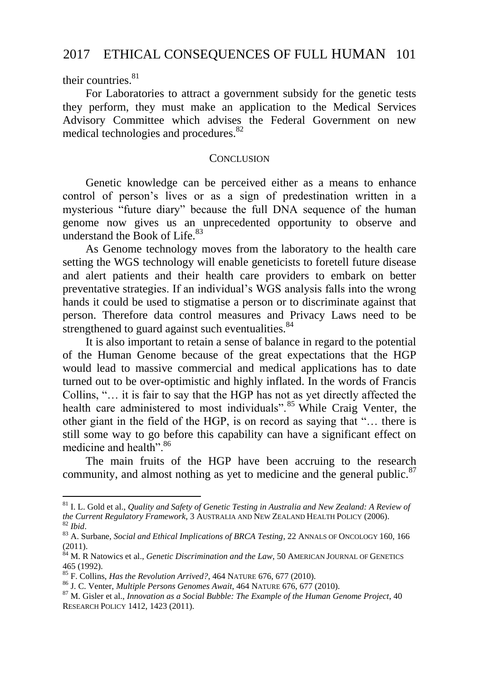their countries. $81$ 

<u>.</u>

For Laboratories to attract a government subsidy for the genetic tests they perform, they must make an application to the Medical Services Advisory Committee which advises the Federal Government on new medical technologies and procedures.<sup>82</sup>

#### **CONCLUSION**

Genetic knowledge can be perceived either as a means to enhance control of person's lives or as a sign of predestination written in a mysterious "future diary" because the full DNA sequence of the human genome now gives us an unprecedented opportunity to observe and understand the Book of Life.<sup>83</sup>

As Genome technology moves from the laboratory to the health care setting the WGS technology will enable geneticists to foretell future disease and alert patients and their health care providers to embark on better preventative strategies. If an individual"s WGS analysis falls into the wrong hands it could be used to stigmatise a person or to discriminate against that person. Therefore data control measures and Privacy Laws need to be strengthened to guard against such eventualities.<sup>84</sup>

It is also important to retain a sense of balance in regard to the potential of the Human Genome because of the great expectations that the HGP would lead to massive commercial and medical applications has to date turned out to be over-optimistic and highly inflated. In the words of Francis Collins, "… it is fair to say that the HGP has not as yet directly affected the health care administered to most individuals".<sup>85</sup> While Craig Venter, the other giant in the field of the HGP, is on record as saying that "… there is still some way to go before this capability can have a significant effect on medicine and health" 86

The main fruits of the HGP have been accruing to the research community, and almost nothing as yet to medicine and the general public. $87$ 

<sup>81</sup> I. L. Gold et al., *Quality and Safety of Genetic Testing in Australia and New Zealand: A Review of the Current Regulatory Framework*, 3 AUSTRALIA AND NEW ZEALAND HEALTH POLICY (2006). <sup>82</sup> *Ibid*.

<sup>83</sup> A. Surbane, *Social and Ethical Implications of BRCA Testing*, 22 ANNALS OF ONCOLOGY 160, 166 (2011).

<sup>84</sup> M. R Natowics et al., *Genetic Discrimination and the Law*, 50 AMERICAN JOURNAL OF GENETICS 465 (1992).

<sup>85</sup> F. Collins, *Has the Revolution Arrived?*, 464 NATURE 676, 677 (2010).

<sup>86</sup> J. C. Venter, *Multiple Persons Genomes Await*, 464 NATURE 676, 677 (2010).

<sup>87</sup> M. Gisler et al., *Innovation as a Social Bubble: The Example of the Human Genome Project*, 40 RESEARCH POLICY 1412, 1423 (2011).